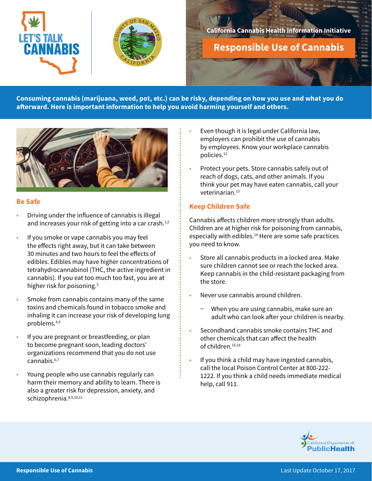



## **California Cannabis Health Information Initiative**

**Responsible Use of Cannabis**

**Consuming cannabis (marijuana, weed, pot, etc.) can be risky, depending on how you use and what you do afterward. Here is important information to help you avoid harming yourself and others.**



#### **Be Safe**

- Driving under the influence of cannabis is illegal and increases your risk of getting into a car crash. $1,2$
- If you smoke or vape cannabis you may feel the effects right away, but it can take between 30 minutes and two hours to feel the effects of edibles. Edibles may have higher concentrations of tetrahydrocannabinol (THC, the active ingredient in cannabis). If you eat too much too fast, you are at higher risk for poisoning.3
- Smoke from cannabis contains many of the same toxins and chemicals found in tobacco smoke and inhaling it can increase your risk of developing lung problems.4,5
- If you are pregnant or breastfeeding, or plan to become pregnant soon, leading doctors' organizations recommend that you do not use cannabis.<sup>6,7</sup>
- Young people who use cannabis regularly can harm their memory and ability to learn. There is also a greater risk for depression, anxiety, and schizophrenia. 8,9,10,11
- Even though it is legal under California law, employers can prohibit the use of cannabis by employees. Know your workplace cannabis policies.12
- Protect your pets. Store cannabis safely out of reach of dogs, cats, and other animals. If you think your pet may have eaten cannabis, call your veterinarian.13

#### **Keep Children Safe**

Cannabis affects children more strongly than adults. Children are at higher risk for poisoning from cannabis, especially with edibles.<sup>14</sup> Here are some safe practices you need to know.

- Store all cannabis products in a locked area. Make sure children cannot see or reach the locked area. Keep cannabis in the child-resistant packaging from the store.
- Never use cannabis around children.
	- When you are using cannabis, make sure an adult who can look after your children is nearby.
- Secondhand cannabis smoke contains THC and other chemicals that can affect the health of children.15,16
- If you think a child may have ingested cannabis, call the local Poison Control Center at 800-222- 1222. If you think a child needs immediate medical help, call 911.

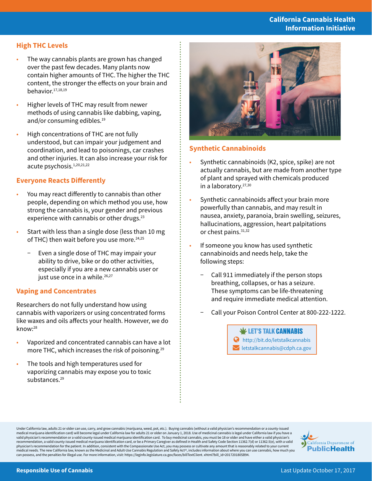# **California Cannabis Health Information Initiative**

# **High THC Levels**

- The way cannabis plants are grown has changed over the past few decades. Many plants now contain higher amounts of THC.The higher the THC content, the stronger the effects on your brain and behavior.17,18,19
- Higher levels of THC may result from newer methods of using cannabis like dabbing, vaping, and/or consuming edibles.<sup>19</sup>
- High concentrations of THC are not fully understood, but can impair your judgement and coordination, and lead to poisonings, car crashes and other injuries. It can also increase your risk for acute psychosis.1,20,21,22

#### **Everyone Reacts Differently**

- You may react differently to cannabis than other people, depending on which method you use, how strong the cannabis is, your gender and previous experience with cannabis or other drugs. $23$
- Start with less than a single dose (less than 10 mg of THC) then wait before you use more.<sup>24,25</sup>
	- Even a single dose of THC may impair your ability to drive, bike or do other activities, especially if you are a new cannabis user or just use once in a while.<sup>26,27</sup>

#### **Vaping and Concentrates**

Researchers do not fully understand how using cannabis with vaporizers or using concentrated forms like waxes and oils affects your health. However, we do know:28

- Vaporized and concentrated cannabis can have a lot more THC, which increases the risk of poisoning.<sup>29</sup>
- The tools and high temperatures used for vaporizing cannabis may expose you to toxic substances.<sup>29</sup>



# **Synthetic Cannabinoids**

- Synthetic cannabinoids (K2, spice, spike) are not actually cannabis, but are made from another type of plant and sprayed with chemicals produced in a laboratory.<sup>27,30</sup>
- Synthetic cannabinoids affect your brain more powerfully than cannabis, and may result in nausea, anxiety, paranoia, brain swelling, seizures, hallucinations, aggression, heart palpitations or chest pains. 31,32
- If someone you know has used synthetic cannabinoids and needs help, take the following steps:
	- − Call 911 immediately if the person stops breathing, collapses, or has a seizure. These symptoms can be life-threatening and require immediate medical attention.
	- − Call your Poison Control Center at 800-222-1222.

 $\mathbf \Psi$  LET'S TALK CANNABIS http://bit.do/letstalkcannabis **Letstalkcannabis@cdph.ca.gov** 

Under California law, adults 21 or older can use, carry, and grow cannabis (marijuana, weed, pot, etc.). Buying cannabis (without a valid physician's recommendation or a county-issued medical marijuana identification card) will become legal under California law for adults 21 or older on January 1, 2018. Use of medicinal cannabis is legal under California law if you have a<br>valid physician's recommendatio recommendation, a valid county-issued medical marijuana identification card, or be a Primary Caregiver as defined in Health and Safety Code Section 11362.7(d) or 11362.5(e), with a valid<br>physician's recommendation for the medical needs. The new California law, known as the Medicinal and Adult-Use Cannabis Regulation and Safety Act<sup>33</sup>, includes information about where you can use cannabis, how much you can possess, and the penalties for illegal use. For more information, visit: https://leginfo.legislature.ca.gov/faces/billTextClient. xhtml?bill\_id=201720180SB94.